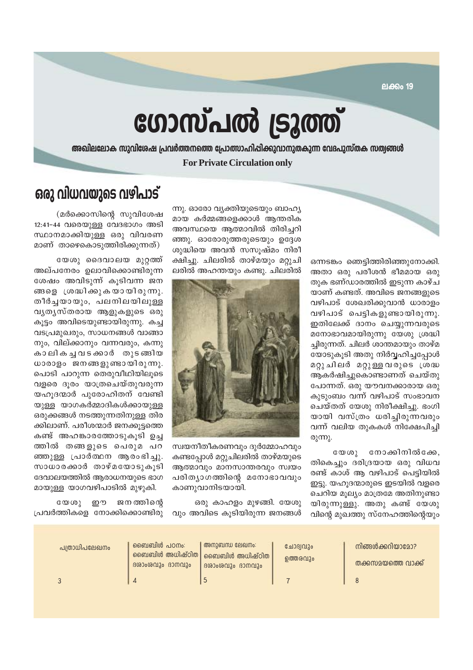**ലക്കം 19** 

# ഗോസ്പൽ ട്രൂത്ത്

അഖിലലോക സുവിശേഷ പ്രവർത്തനത്തെ പ്രോത്സാഹിപ്പിക്കുവാനുതകുന്ന വേദപുസ്തക സത്വങ്ങൾ

**For Private Circulation only** 

ഒന്നടങ്കം ഞെട്ടിത്തിരിഞ്ഞുനോക്കി. അതാ ഒരു പരീശൻ ഭീമമായ ഒരു തുക ഭണ്ഡാരത്തിൽ ഇടുന്ന കാഴ്ച യാണ് കണ്ടത്. അവിടെ ജനങ്ങളുടെ വഴിപാട് ശേഖരിക്കുവാൻ ധാരാളം വഴിപാട് പെട്ടികളുണ്ടായിരുന്നു. ഇതിലേക്ക് ദാനം ചെയ്യുന്നവരുടെ മനോഭാവമായിരുന്നു യേശു ശ്രദ്ധി ച്ചിരുന്നത്. ചിലർ ശാന്തമായും താഴ്മ യോടുകൂടി അതു നിർവ്വഹിച്ചപ്പോൾ മറ്റു ചിലർ മറ്റുള്ള വരുടെ ശ്രദ്ധ ആകർഷിച്ചുകൊണ്ടാണത് ചെയ്തു പോന്നത്. ഒരു യൗവനക്കാരായ ഒരു കുടുംബം വന്ന് വഴിപാട് സംഭാവന ചെയ്തത് യേശു നിരീക്ഷിച്ചു. ഭംഗി യായി വസ്ത്രം ധരിച്ചിരുന്നവരും വന്ന് വലിയ തുകകൾ നിക്ഷേപിച്ചി  $\omega$  m.

നോക്കിനിൽക്കേ,  $C \omega \omega$ തികെച്ചും ദരിദ്രയായ ഒരു വിധവ രണ്ട് കാശ് ആ വഴിപാട് പെട്ടിയിൽ ഇട്ടു. യഹുദന്മാരുടെ ഇടയിൽ വളരെ ചെറിയ മൂല്യം മാത്രമേ അതിനുണ്ടാ യിരുന്നുള്ളു. അതു കണ്ട് യേശു വിന്റെ മുഖത്തു സ്നേഹത്തിന്റെയും

ന്നു. ഓരോ വ്യക്തിയുടെയും ബാഹ്യ മായ കർമ്മങ്ങളെക്കാൾ ആന്തരിക അവസ്ഥയെ ആത്മാവിൽ തിരിച്ചറി ഞ്ഞു. ഓരോരുത്തരുടെയും ഉദ്ദേശ ശുദ്ധിയെ അവൻ സസുഷ്മം നിരീ ക്ഷിച്ചു. ചിലരിൽ താഴ്മയും മറ്റുചി ലരിൽ അഹന്തയും കണ്ടു. ചിലരിൽ



സ്വയനീതീകരണവും ദുർമ്മോഹവും കണ്ടപ്പോൾ മറ്റുചിലരിൽ താഴ്മയുടെ ആത്മാവും മാനസാന്തരവും സ്വയം പരിത്യാഗത്തിന്റെ മനോഭാവവും കാണുവാനിടയായി.

ഒരു കാഹളം മുഴങ്ങി. യേശു വും അവിടെ കുടിയിരുന്ന ജനങ്ങൾ

### ഒരു വിധവയുടെ വഴിപാട്

(മർക്കൊസിന്റെ സുവിശേഷ 12:41-44 വരെയുള്ള വേദഭാഗം അടി സ്ഥാനമാക്കിയുള്ള ഒരു വിവരണ മാണ് താഴെകൊടുത്തിരിക്കുന്നത്)

യേശു ദൈവാലയ മുറ്റത്ത് അല്പനേരം ഉലാവിക്കൊണ്ടിരുന്ന ശേഷം അവിടുന്ന് കുടിവന്ന ജന ങ്ങളെ ശ്രദ്ധിക്കുകയായിരുന്നു. തീർച്ചയായും, പലനിലയിലുള്ള വൃതൃസ്തരായ ആളുകളുടെ ഒരു കുട്ടം അവിടെയുണ്ടായിരുന്നു. കച്ച വടപ്രമുഖരും, സാധനങ്ങൾ വാങ്ങാ നും, വില്ക്കാനും വന്നവരും, കന്നു കാലികച്ചവടക്കാർ തുടങ്ങിയ ധാരാളം ജനങ്ങളുണ്ടായിരുന്നു. പൊടി പാറുന്ന തെരുവീഥിയിലുടെ വളരെ ദുരം യാത്രചെയ്തുവരുന്ന യഹൂദന്മാർ പുരോഹിതന് വേണ്ടി യുള്ള യാഗകർമ്മാദികൾക്കായുള്ള ഒരുക്കങ്ങൾ നടത്തുന്നതിനുള്ള തിര ക്കിലാണ്. പരീശന്മാർ ജനക്കുട്ടത്തെ കണ്ട് അഹങ്കാരത്തോടുകൂടി ഉച്ച ത്തിൽ തങ്ങളുടെ പെരുമ പറ ഞ്ഞുള്ള പ്രാർത്ഥന ആരംഭിച്ചു. സാധാരക്കാർ താഴ്മയോടുകൂടി ദേവാലയത്തിൽ ആരാധനയുടെ ഭാഗ മായുള്ള യാഗവഴിപാടിൽ മുഴുകി.

 $C \times C$ றற ജനത്തിന്റെ പ്രവർത്തികളെ നോക്കിക്കൊണ്ടിരു

| പത്രാധിപലേഖനം | <u>ൈബിെൽ പഠനം:</u><br>ംബെബിൾ അധിഷ്ഠിത $\mid$<br>ദശാംശവും ദാനവും | അനുബന്ധ ലേഖനം:<br>, ബൈബിൾ അധിഷ്ഠിത  <br>ദശാംശവും ദാനവും | ചോദ്വവും<br>൭ത്തരവും | നിങ്ങൾക്കറിയാമോ?<br>തക്കസമയത്തെ വാക്ക് |
|---------------|-----------------------------------------------------------------|---------------------------------------------------------|----------------------|----------------------------------------|
|               |                                                                 |                                                         |                      |                                        |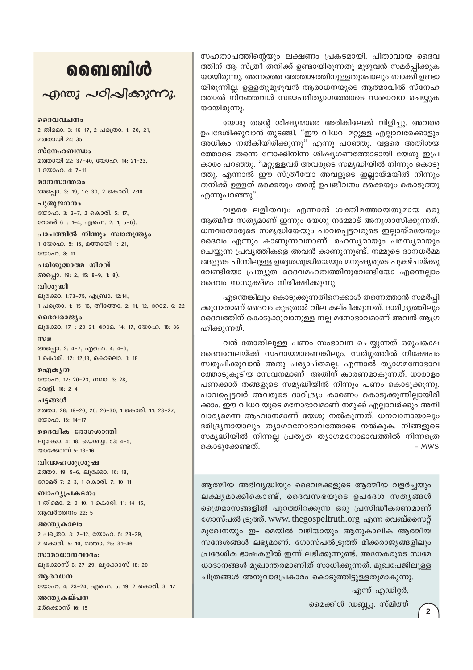## வைவிൾ

 $\sim$ றாறை പഠിപ്പിക്കുന്നു.

ദൈവവചനം 2 തിമൊ. 3: 16-17, 2 പത്രൊ. 1: 20, 21, മത്തായി 24: 35

സ്നേഹബന്ധം മത്തായി 22: 37-40, യോഹ. 14: 21-23, 1 WOOD. 4: 7-11

മാനസാന്തരം അപ്പൊ. 3: 19, 17: 30, 2 കൊരി. 7:10

പുതുജനനം യോഹ. 3: 3-7, 2 കൊരി. 5: 17, റോമർ 6: 1-4, എഫെ. 2: 1, 5-6).

പാപത്തിൽ നിന്നും സ്വാതന്ത്ര്യം 1 യോഹ. 5: 18, മത്തായി 1: 21,  $2000000811$ 

പരിശുദ്ധാത്മ നിറവ് അപ്പൊ. 19: 2, 15: 8-9, 1: 8).

വിശുദ്ധി ലൂക്കോ. 1:73-75, എബ്രാ. 12:14, 1 പക്രൊ. 1: 15-16, തീത്തോ. 2: 11, 12, റോമ. 6: 22

ദൈവരാജ്യം ലൂക്കോ. 17: 20-21, റോമ. 14: 17, യോഹ. 18: 36

 $m$  $g$ അപ്പൊ. 2: 4-7, എഫെ. 4: 4-6, 1 കൊരി. 12: 12,13, കൊലൊ. 1: 18

வெிக்கு യോഹ. 17: 20-23, ഗലാ. 3: 28, വെളി. 18: 2-4

ചട്ടങ്ങൾ മത്താ. 28: 19-20, 26: 26-30, 1 കൊരി. 11: 23-27, യോഹ. 13: 14-17

ദൈവീക രോഗശാന്തി ലൂക്കോ. 4: 18, യെശയ്യ. 53: 4-5, യാക്കോബ് 5: 13-16

വിവാഹശുശ്രൂഷ മത്താ. 19: 5-6, ലൂക്കോ. 16: 18, റോമർ 7: 2-3, 1 കൊരി. 7: 10-11

ബാഹ്യപ്രകടനം 1 തിമൊ. 2: 9-10, 1 കൊരി. 11: 14-15, ആവർത്തനം 22: 5

അന്ത്യകാലം 2 പത്രൊ. 3: 7-12, യോഹ. 5: 28-29, 2 കൊരി. 5: 10, മത്താ. 25: 31-46

സാമാധാനവാദം: ലൂക്കോസ് 6: 27-29, ലൂക്കോസ് 18: 20

അരാധന യോഹ. 4: 23-24, എഫെ. 5: 19, 2 കൊരി. 3: 17

അന്ത്യകല്പന മർക്കൊസ് 16: 15

സഹതാപത്തിന്റെയും ലക്ഷണം പ്രകടമായി. പിതാവായ ദൈവ ത്തിന് ആ സ്ത്രീ തനിക്ക് ഉണ്ടായിരുന്നതു മുഴുവൻ സമർപ്പിക്കുക യായിരുന്നു. അന്നത്തെ അത്താഴത്തിനുള്ളതുപോലും ബാക്കി ഉണ്ടാ യിരുന്നില്ല. ഉള്ളതുമുഴുവൻ ആരാധനയുടെ ആത്മാവിൽ സ്നേഹ ത്താൽ നിറഞ്ഞവൾ സ്വയപരിത്യാഗത്തോടെ സംഭാവന ചെയ്യുക യായിരുന്നു.

യേശു തന്റെ ശിഷ്യന്മാരെ അരികിലേക്ക് വിളിച്ചു. അവരെ ഉപദേശിക്കുവാൻ തുടങ്ങി. "ഈ വിധവ മറ്റുള്ള എല്ലാവരേക്കാളും അധികം നൽകിയിരിക്കുന്നു" എന്നു പറഞ്ഞു. വളരെ അതിശയ ത്തോടെ തന്നെ നോക്കിനിന്ന ശിഷ്യഗണത്തോടായി യേശു ഇപ്ര കാരം പറഞ്ഞു. "മറ്റുള്ളവർ അവരുടെ സമൃദ്ധിയിൽ നിന്നും കൊടു ത്തു. എന്നാൽ ഈ സ്ത്രീയോ അവളുടെ ഇല്ലായ്മയിൽ നിന്നും തനിക്ക് ഉള്ളത് ഒക്കെയും തന്റെ ഉപജീവനം ഒക്കെയും കൊടുത്തു എന്നുപറഞ്ഞു".

വളരെ ലളിതവും എന്നാൽ ശക്തിമത്തായതുമായ ഒരു ആത്മീയ സത്യമാണ് ഇന്നും യേശു നമ്മോട് അനുശാസിക്കുന്നത്. ധനവാന്മാരുടെ സമൃദ്ധിയേയും പാവപ്പെട്ടവരുടെ ഇല്ലായ്മയേയും ദൈവം എന്നും കാണുന്നവനാണ്. രഹസ്യമായും പരസ്യമായും ചെയ്യുന്ന പ്രവൃത്തികളെ അവൻ കാണുന്നുണ്ട്. നമ്മുടെ ദാനധർമ്മ ങ്ങളുടെ പിന്നിലുള്ള ഉദ്ദേശശുദ്ധിയെയും മനുഷ്യരുടെ പുകഴ്ചയ്ക്കു വേണ്ടിയോ പ്രത്യുത ദൈവമഹത്വത്തിനുവേണ്ടിയോ എന്നെല്ലാം ദൈവം സസൂക്ഷ്മം നിരീക്ഷിക്കുന്നു.

എന്തെങ്കിലും കൊടുക്കുന്നതിനെക്കാൾ തന്നെത്താൻ സമർപ്പി ക്കുന്നതാണ് ദൈവം കൂടുതൽ വില കല്പിക്കുന്നത്. ദാരിദ്ര്യത്തിലും ദൈവത്തിന് കൊടുക്കുവാനുള്ള നല്ല മനോഭാവമാണ് അവൻ ആഗ്ര ഹിക്കുന്നത്.

വൻ തോതിലുള്ള പണം സംഭാവന ചെയ്യുന്നത് ഒരുപക്ഷെ ദൈവവേലയ്ക്ക് സഹായമാണെങ്കിലും, സ്വർഗ്ഗത്തിൽ നിക്ഷേപം സ്ഥരുപിക്കുവാൻ അതു പര്യാപ്തമല്ല. എന്നാൽ ത്യാഗമനോഭാവ ത്തോടുകൂടിയ സേവനമാണ് അതിന് കാരണമാകുന്നത്. ധാരാളം പണക്കാർ തങ്ങളുടെ സമൃദ്ധിയിൽ നിന്നും പണം കൊടുക്കുന്നു. പാവപ്പെട്ടവർ അവരുടെ ദാരിദ്ര്യം കാരണം കൊടുക്കുന്നില്ലായിരി ക്കാം. ഈ വിധവയുടെ മനോഭാവമാണ് നമുക്ക് എല്ലാവർക്കും അനി വാര്യമെന്ന ആഹ്വാനമാണ് യേശു നൽകുന്നത്. ധനവാനായാലും ദരിദ്ര്യനായാലും ത്യാഗമനോഭാവത്തോടെ നൽകുക. നിങ്ങളുടെ സമൃദ്ധിയിൽ നിന്നല്ല പ്രത്യത ത്യാഗമനോഭാവത്തിൽ നിന്നത്രെ കൊടുക്കേണ്ടത്.  $- MWS$ 

ആത്മീയ അഭിവൃദ്ധിയും ദൈവമക്കളുടെ ആത്മീയ വളർച്ചയും ലക്ഷ്യമാക്കികൊണ്ട്, ദൈവസഭയുടെ ഉപദേശ സത്യങ്ങൾ ത്രൈമാസങ്ങളിൽ പുറത്തിറക്കുന്ന ഒരു പ്രസിദ്ധീകരണമാണ് ഗോസ്പൽ ട്രുത്ത്. www. thegospeltruth.org എന്ന വെബ്സൈറ്റ് മുഖേനയും ഇ- മെയിൽ വഴിയായും ആനുകാലിക ആത്മീയ സന്ദേശങ്ങൾ ലഭ്യമാണ്. ഗോസ്പൽട്രുത്ത് മിക്കരാജ്യങ്ങളിലും പ്രദേശിക ഭാഷകളിൽ ഇന്ന് ലഭിക്കുന്നുണ്ട്. അനേകരുടെ സ്വമേ ധാദാനങ്ങൾ മുഖാന്തരമാണിത് സാധിക്കുന്നത്. മുഖപേജിലുള്ള ചിത്രങ്ങൾ അനുവാദപ്രകാരം കൊടുത്തിട്ടുള്ളതുമാകുന്നു.

എന്ന് എഡിറ്റർ,

മൈക്കിൾ ഡബ്ല്യൂ. സ്മിത്ത്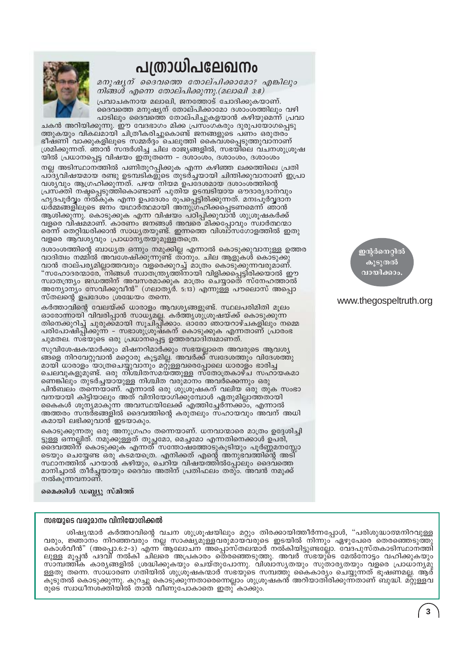## പത്രാധിപലേഖനം



മനുഷൃന് ദൈവത്തെ തോല്പിക്കാമോ? എങ്കിലും നിങ്ങൾ എന്നെ തോല്പിക്കുന്നു.(മലാഖി 3:8) പ്രവാചകനായ മലാഖി, ജനത്തോട് ചോദിക്കുകയാണ്.

ദൈവത്തെ മനുഷ്യന് തോല്പിക്കാമോ ദശാംശത്തിലും വഴി പാടിലും ദൈവത്തെ തോല്പിച്ചുകളയാൻ കഴിയുമെന്ന് പ്രവാ

ചകൻ അറിയിക്കുന്നു. ഈ വേദഭാഗം മിക്ക പ്രസ്ംഗകരും ദുരുപയോഗപ്പെടു ത്തുകയും വികലമായി ചിത്രീകരിച്ചുകൊണ്ട് ജനങ്ങളുടെ പണം ഒരുതരം ഭീഷ്ണി വാക്കുകളിലൂടെ സമ്മർദ്ദം ചെലുത്തി കൈവശപ്പെടുത്തുവാനാണ് ശ്രമിക്കുന്നത്. ഞാൻ സന്ദർശിച്ച ചില രാജ്യങ്ങളിൽ, സഭയിലെ വചനശുശ്രൂഷ യിൽ പ്രധാനപ്പെട്ട വിഷയം ഇതുതന്നെ – ദശാംശം, ദശാംശം, ദശാംശം

നല്ല അടിസ്ഥാനത്തിൽ പണിതുറപ്പിക്കുക എന്ന കഴിഞ്ഞ ലക്കത്തിലെ പ്രതി പാദ്യവിഷയമായ രണ്ടു ഉടമ്പടികളുടെ തുടർച്ചയായി ചിന്തിക്കുവാനാണ് ഇപ്രാ വശ്യവും ആഗ്രഹിക്കുന്നത്. പഴയ നിയമ ഉപദേശമായ ദശാംശത്തിന്റെ പ്രസക്തി നഷ്ടപ്പെടുത്തികൊണ്ടാണ് പുതിയ ഉടമ്പടിയായ ഔദാര്യദാനവും ഹൃദപൂർവ്വം ന്ൽ്കു്ക എന്ന ഉപദേശം രൂപപ്പെട്ടിരിക്കുന്നത്. മനഃപൂർവ്വദാന ധർമ്മങ്ങളിലൂടെ ജനം യഥാർത്ഥമായി അനുഗ്രഹിക്കപ്പെടണമെന്ന് ഞാൻ ആശിക്കുന്നു. കൊടുക്കുക എന്ന വിഷയം പഠിപ്പിക്കുവാൻ ശുശ്രൂഷകർക്ക് വളരെ വീഷ്മമാണ്. കാരണം ജനങ്ങൾ അവരെ മിക്കപ്പോവും സ്ഥർത്ഥന്മാ രെന്ന് തെറ്റിദ്ധരിക്കാൻ സാധ്യതയുണ്ട്. ഇന്നത്തെ വിശ്വാസഗോളത്തിൽ ഇതു വളരെ ആവശ്യവും പ്രാധാന്യതയുമുള്ളതത്രെ.

ദശാംശത്തിന്റെ ബാധ്യത ഒന്നും നമുക്കില്ല എന്നാൽ കൊടുക്കുവാനുള്ള ഉത്തര വാദിത്വം നമ്മിൽ അവശേഷിക്കുന്നുണ്ട് താനും. ചില ആളുകൾ കൊടുക്കു വാൻ താല്പര്യമില്ലാത്തവരും വളരെക്കുറച്ച് മാത്രം കൊടുക്കുന്നവരുമാണ്. "സഹോദരന്മാരേ, നിങ്ങൾ സ്വാതന്ത്ര്യത്തിനായി വിളിക്കപ്പെട്ടിരിക്കയാൽ ഈ സ്വാതന്ത്ര്യം ജഡത്തിന് അവസരമാക്കുക മാത്രം ചെയ്യാതെ സ്നേഹത്താൽ അന്യോന്യം സേവിക്കുവീൻ" (ഗലാതൃർ. 5:13) എന്നുള്ള പൗലൊസ് അപ്പൊ സ്തലന്റെ ഉപദേശം ശ്രദ്ധേയം തന്നെ.

കർത്താവിന്റെ വേലയ്ക്ക് ധാരാളം ആവശ്യങ്ങളുണ്ട്. സ്ഥലപരിമിതി മൂലം ഓരോന്നായി വിവരിപ്പാൻ സാധ്യമല്ല. കർത്തൃശുശൂഷയ്ക്ക് കൊടുക്കുന്ന തിനെക്കുറിച്ച് ചുരുക്ക്മായി സൂചിപ്പീക്കാം. ഓരോ ഞായറാഴ്ചകളിലും നമ്മെ പരിപോഷിപ്പിക്കുന്ന – സഭാശുശ്രൂഷകന് കൊടുക്കുക എന്നതാണ് പ്രാരംഭ ചുമതല. സ്ഭയുടെ ഒരു പ്രധാനപ്പെട്ട ഉത്തരവാദിത്വമാണത്.

സുവിശേഷകന്മാർക്കും മിഷനറിമാർക്കും സഭയല്ലാതെ അവരുടെ ആവശ്യ ങ്ങളെ നിറവേറ്റുവാൻ മറ്റൊരു കൂട്ടമില്ല. അവർക്ക് സ്വദേശത്തും വിദേശത്തു മായി ധാരാളം യാത്രചെയ്യുവാനും മറ്റുള്ളവരെപ്പോലെ ധാരാളം ഭാരിച്ച ചെലവുകളുമുണ്ട്. ഒരു നി്ശ്ചിതസമയ്ത്തുള്ള സ്തോത്രകാഴ്ച സഹായകമാ ണെങ്കിലും തുടർച്ചയായുള്ള നിശ്ചിത വരുമാനം അവർക്കെന്നും ഒരു പിൻബലം തന്നെയാണ്. എന്നാൽ ഒരു ശുശ്രൂഷകന് വലിയ ഒരു തുക സംഭാ വനയായി കിട്ടിയാലും അത് വിനിയോഗിക്കുമ്പോൾ ഏതുമില്ലാത്തതായി കൈകൾ ശുന്യമാകുന്ന അവസ്ഥയിലേക്ക് എത്തിച്ചേർന്നക്കാം, എന്നാൽ അത്തരം സന്ദര്ഭങ്ങളിൽ ദൈവത്തിന്റെ കരുതലും സഹായവും അവന് അധി കമായി ലഭിക്കുവാൻ ഇടയാകും.

കൊടുക്കുന്നതു ഒരു അനുഗ്രഹം തന്നെയാണ്. ധനവാന്മാരെ മാത്രം ഉദ്ദേശിച്ചി ട്ടുള്ള ഒന്നല്ലിത്. നമുക്കുള്ളത് തുച്ഛമോ, മെച്ചമോ എന്നതിനെക്കാൾ ഉപരി, ദൈവത്തിന് കൊടുക്കുക എന്നത് സന്തോഷത്തോടുകൂടിയും പൂർണ്ണമനസ്സോ ടെയും ചെയ്യേണ്ട ഒരു കടമയത്രെ. എനിക്കത് എന്റെ അനുഭവത്തിന്റെ അടി സ്ഥാനത്തിൽ പറയാൻ കഴിയും, ചെറിയ വിഷയ്ത്തിൽപ്പോലും ദൈവത്തെ മാനിച്ചാൽ തീർച്ചയായും ദൈവം അതിന് പ്രതിഫലം തരും. അവൻ നമുക്ക് നൽകുന്നവനാണ്.

#### മൈക്കിൾ ഡബ്ല്യു സ്മിത്ത്

#### സഭയുടെ വരുമാനം വിനിയോഗിക്കൽ

ശിഷ്യന്മാർ കർത്താവിന്റെ വചന ശുശ്രൂഷയിലും മറ്റും തിരക്കായിത്തീർന്നപ്പോൾ, "പരിശുദ്ധാത്മനിറവുള്ള വരും, ജ്ഞാനം നിറഞ്ഞവരും നല്ല സാക്ഷ്യമുള്ളവരുമായവരുടെ ഇടയിൽ നിന്നും ഏഴുപേരെ തെരഞ്ഞെടുത്തു കൊശ്വീൻ" (അപ്പൊ.6:2-3) എന്ന ആലോചന അപ്പൊസ്തലന്മാർ നൽകിയിട്ടുണ്ടല്ലോ. വേദപുസ്തകാടിസ്ഥാനത്തി ലുള്ള മൂപ്പൻ പദവി നൽകി ചിലരെ അപ്രകാരം തെരഞ്ഞെടുത്തു. അവർ സഭയുടെ മേൽനോട്ടം വഹിക്കുകയും സാമ്പത്തിക കാര്യങ്ങളിൽ ശ്രദ്ധിക്കുകയും ചെയ്തുപോന്നു. വിശ്വാസ്യതയും സുതാര്യതയും വളരെ പ്രാധാന്യമു ള്ളതു തന്നെ. സാധാരണ ഗതിയിൽ ശുശ്രൂഷകന്മാർ സഭയുടെ സമ്പത്തു കൈകാര്യം ചെയ്യുന്നത് ഭൂഷണമല്ല. ആര് \_\_\_<br>കൂടുതൽ കൊടുക്കുന്നു. കുറച്ചു കൊടുക്കുന്നതാരെന്നെല്ലാം ശുശ്രൂഷകൻ അറിയാതി്രിക്കുന്നതാണ് ബുദ്ധി. മറ്റുള്ളവ<br>രുടെ സ്വാധീനശക്തിയിൽ താൻ വീണുപോകാതെ ഇതു കാക്കും.

ഇന്റർനെറ്റിൽ കൂടുതൽ വായിക്കാം

#### www.thegospeltruth.org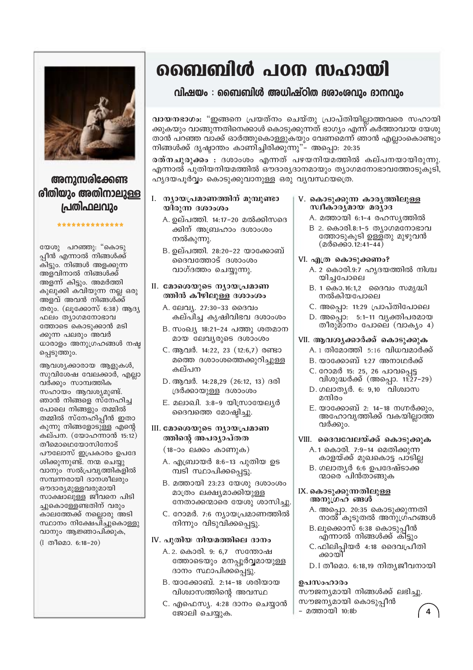

### അനുസരിക്കേണ്ട രിതിയും അതിനാലുള്ള പ്രതിഫലവും

\*\*\*\*\*\*\*\*\*\*\*\*\*\*

#### യേശു പറഞ്ഞു: "കൊടു പ്പീൻ എന്നാൽ നിങ്ങൾക്ക് കിട്ടും. നിങ്ങൾ അളക്കുന്ന അളവിനാൽ നിങ്ങൾക്ക് അളന്ന് കിട്ടും. അമർത്തി കുലുക്കി കവിയുന്ന നല്ല ഒരു അളവ് അവൻ നിങ്ങൾക്ക് തരും. (ലൂക്കോസ് 6:38) ആദ്യ ഫലം തൃാഗമനോഭാവ ത്തോടെ കൊടുക്കാൻ മടി ക്കുന്ന പലരും അവർ ധാരാളം അനുഗ്രഹങ്ങൾ നഷ്ട പ്പെടുത്തും.

ആവശ്യക്കാരായ ആളുകൾ, സുവിശേഷ വേലക്കാർ, എല്ലാ വർക്കും സാമ്പത്തിക സഹായം ആവശ്യമുണ്ട്. ഞാൻ നിങ്ങളെ സ്നേഹിച്ച പോലെ നിങ്ങളും തമ്മിൽ തമ്മിൽ സ്നേഹിപ്പീൻ ഇതാ കുന്നു നിങ്ങളോടുള്ള എന്റെ കല്പന. (യോഹന്നാൻ 15:12) തീമൊഥെയോസിനോട് പൗലോസ് ഇപ്രകാരം ഉപദേ ശിക്കുന്നുണ്ട്. നന്മ ചെയ്യു വാനും സൽപ്രവൃത്തികളിൽ സമ്പന്നരായി ദാനശീലരും ഔദാര്യമുള്ളവരുമായി സാക്ഷാലുള്ള ജീവനെ പിടി ച്ചുകൊള്ളേണ്ടതിന് വരും കാലത്തേക്ക് നല്ലൊരു അടി സ്ഥാനം നിക്ഷേപിച്ചുകൊള്ളു വാനും ആജ്ഞാപിക്കുക,

(I തീമൊ. 6:18-20)

## ബൈബിൾ പഠന സഹായി

#### വിഷയം : ബൈബിൾ അധിഷ്ഠിത ദശാംശവും ദാനവും

വായനഭാഗം: "ഇങ്ങനെ പ്രയത്നം ചെയ്തു പ്രാപ്തിയില്ലാത്തവരെ സഹായി ക്കുകയും വാങ്ങുന്നതിനെക്കാൾ കൊടുക്കുന്നത് ഭാഗ്യം എന്ന് കർത്താവായ യേശു താൻ പറഞ്ഞ വാക്ക് ഓർത്തുകൊള്ളുകയും വേണമെന്ന് ഞാൻ എല്ലാംകൊണ്ടും നിങ്ങൾക്ക് ദൃഷ്ഠാന്തം കാണിച്ചിരിക്കുന്നു"– അപ്പൊ: 20:35

രത്നചുരുക്കം : ദശാംശം എന്നത് പഴയനിയമത്തിൽ കല്പനയായിരുന്നു. എന്നാൽ പുതിയനിയമത്തിൽ ഔദാര്യദാനമായും ത്യാഗമനോഭാവത്തോടുകൂടി, ഹൃദയപൂർവ്വം കൊടുക്കുവാനുള്ള ഒരു വൃവസ്ഥയത്രെ.

#### I. ന്യായപ്രമാണത്തിന് മുമ്പുണ്ടാ യിരുന്ന ദശാംശം

- A. ഉല്പത്തി. 14:17-20 മൽക്കിസദെ ക്കിന് അബ്രഹാം ദശാംശം നൽകുന്നു.
- B. ഉല്പത്തി. 28:20-22 യാക്കോബ് ദൈവത്തോട് ദശാംശം വാഗ്ദത്തം ചെയ്യുന്നു.

#### II. മോശെയുടെ നൃായപ്രമാണ ത്തിൻ കീഴിലുള്ള ദശാംശം

- A. ലേവ്യ. 27:30-33 ദൈവം കല്പിച്ച കൃഷിവിഭവ ദശാംശം
- B. സംഖ്യ 18:21-24 പത്തു ശതമാന മായ ലേവ്യരുടെ ദശാംശം
- C. ആവർ. 14:22, 23 (12:6,7) രണ്ടാ മത്തെ ദശാംശത്തെക്കുറിച്ചുള്ള കല്പന
- D. ആവർ. 14:28,29 (26:12, 13) ദരി ദ്രർക്കായുള്ള ദശാംശം
- E. മലാഖി. 3:8-9 യിസ്രായേല്യർ ദൈവത്തെ മോഷ്ടിച്ചു.

#### $III.$  മോശെയുടെ ന്യായപ്രമാണ ത്തിന്റെ അപര്യാപ്തത

 $(18-0)$ o ലക്കം കാണുക)

- A. എബ്രായർ 8:6-13 പുതിയ ഉട മ്പടി സ്ഥാപിക്കപ്പെട്ടു.
- B. മത്തായി 23:23 യേശു ദശാംശം മാത്രം ലക്ഷ്യമാക്കിയുള്ള നേതാക്കന്മാരെ യേശു ശാസിച്ചു.
- C. റോമർ. 7:6 ന്യായപ്രമാണത്തിൽ നിന്നും വിടുവിക്കപ്പെട്ടു.

#### IV. പുതിയ നിയമത്തിലെ ദാനം

- A. 2. കൊരി. 9: 6,7 സന്തോഷ ത്തോടെയും മനപ്പൂർവ്വമായുള്ള ദാനം സ്ഥാപിക്കപ്പെട്ടു.
- B. യാക്കോബ്. 2:14-18 ശരിയായ വിശ്വാസത്തിന്റെ അവസ്ഥ
- C. എഫെസ്യ. 4:28 ദാനം ചെയ്യാൻ ജോലി ചെയ്യുക.

#### V. കൊടുക്കുന്ന കാരൃത്തിലുള്ള സ്ഥീകാര്യമായ മര്യാദ

- A. മത്തായി 6:1-4 രഹസ്യത്തിൽ
- B 2. കൊരി.8:1-5 ത്യാഗമനോഭാവ ത്തോടുകൂടി ഉള്ളതു മുഴുവൻ (മർക്കൊ. 12:41-44)
- VI. എത്ര കൊടുക്കണം?
	- A. 2 കൊരി.9:7 ഹൃദയത്തിൽ നിശ്ച യിച്ചപോലെ
	- B. 1 കൊ.16:1,2 ദൈവം സമൃദ്ധി നൽകിയപോലെ
	- C. അപ്പൊ: 11:29 പ്രാപ്തിപോലെ
	- D. അപ്പൊ: 5:1-11 വൃക്തിപരമായ തീരുമാനം പോലെ് (വാക്യം 4)

#### VII. ആവശൃക്കാർക്ക് കൊടുക്കുക

- A. 1 തിമോത്തി 5:16 വിധവമാർക്ക്
- B. യാക്കോബ് 1:27 അനാഥർക്ക്
- C. റോമർ 15: 25, 26 പാവപ്പെട്ട വിശുദ്ധർക്ക് (അപ്പൊ. 11:27-29)
- D. ഗലാതൃർ. 6: 9,10 വിശ്വാസ മന്ദിരം
- E. യാക്കോബ് 2: 14-18 നഗ്നർക്കും, അഹോവൃത്തിക്ക് വകയില്ലാത്ത വർക്കും.
- VIII. ദൈവവേലയ്ക്ക് കൊടുക്കുക
	- A.1 കൊരി. 7:9-14 മെതിക്കുന്ന കാളയ്ക്ക് മുഖകൊട്ട പാടില
	- B. ഗലാതൃർ 6:6 ഉപദേഷ്ടാക്ക ന്മാരെ ്പിൻതാങ്ങുക
- IX. കൊടുക്കുന്നതിലുള്ള അനുശ്രഹ ങ്ങൾ
	- A. അപ്പൊ. 20:35 കൊടുക്കുന്നതി നാത് കൂടുതൽ അനുഗ്ഹങ്ങൾ
	- B.ലൂക്കൊസ് 6:38 കൊടുപ്പീൻ എന്നാൽ നിങ്ങൾക്ക് കിട്ടും
	- C. ഫിലിപ്പിയർ 4:18 ദൈവപ്രീതി ക്കായി
	- D.I തീമൊ. 6:18,19 നിത്യജീവനായി

#### ഉപസംഹാരം

സൗജന്യമായി നിങ്ങൾക്ക് ലഭിച്ചു. സൗജന്യമായി കൊടുപ്പീൻ - മത്തായി 10:8b  $\overline{4}$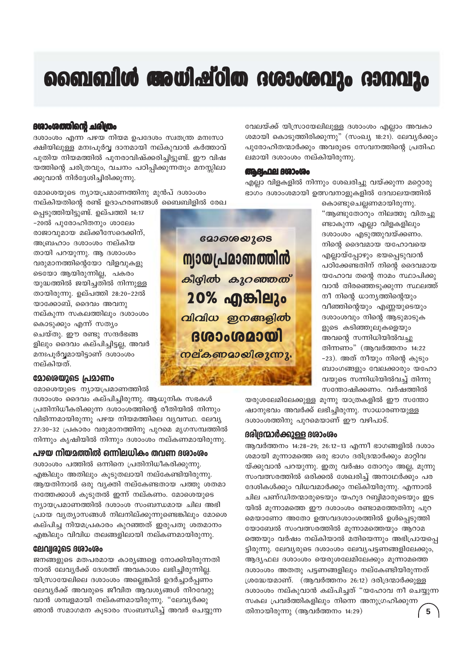## ബൈബിൾ അധിഷ്ഠിത ദശാംശവും ദാനവും

#### 60ാംശത്തിന്റെ ചരിതം

ദശാംശം എന്ന പഴയ നിയമ ഉപദേശം സ്വതന്ത്ര മനഃസാ ക്ഷിയിലുള്ള മനഃപൂർവ്വ ദാനമായി നല്കുവാൻ കർത്താവ് പുതിയ നിയമത്തിൽ പുനരാവിഷ്ക്കരിച്ചിട്ടുണ്ട്. ഈ വിഷ യത്തിന്റെ ചരിത്രവും, വചനം പഠിപ്പിക്കുന്നതും മനസ്സിലാ ക്കുവാൻ നിർദ്ദേശിച്ചിരിക്കുന്നു.

മോശെയുടെ ന്യായപ്രമാണത്തിനു മുൻപ് ദശാംശം നല്കിയതിന്റെ രണ്ട് ഉദാഹരണങ്ങൾ ബൈബിളിൽ രേഖ

പ്പെടുത്തിയിട്ടുണ്ട്. ഉല്പത്തി 14:17 -20ൽ പൂരോഹിതനും ശാലേം രാജാവുമായ മല്ക്കീസേദെക്കിന്, അബ്രഹാം ദശാംശം നല്കിയ തായി പറയുന്നു. ആ ദശാംശം വരുമാനത്തിന്റെയോ വിളവുകളു ടെയോ ആയിരുന്നില്ല, പകരം യുദ്ധത്തിൽ ജയിച്ചതിൽ നിന്നുള്ള തായിരുന്നു. ഉല്പത്തി 28:20-22ൽ യാക്കോബ്, ദൈവം അവനു നല്കുന്ന സകലത്തിലും ദശാംശം കൊടുക്കും എന്ന് സത്യം ചെയ്തു. ഈ രണ്ടു സന്ദർഭങ്ങ ളിലും ദൈവം കല്പിച്ചിട്ടല്ല, അവർ മനഃപൂർവ്വമായിട്ടാണ് ദശാംശം നല്കിയത്.

#### മോരെയുടെ പ്രമാണം

മോശെയുടെ ന്യായപ്രമാണത്തിൽ

ദശാംശം ദൈവം കല്പിച്ചിരുന്നു. ആധുനിക സഭകൾ പ്രതിനിധീകരിക്കുന്ന ദശാംശത്തിന്റെ രീതിയിൽ നിന്നും വിഭിന്നമായിരുന്നു പഴയ നിയമത്തിലെ വ്യവസ്ഥ. ലേവ്യ 27:30-32 പ്രകാരം വരുമാനത്തിനു പുറമെ മൃഗസമ്പത്തിൽ നിന്നും കൃഷിയിൽ നിന്നും ദശാംശം നല്കണമായിരുന്നു.

#### പഴയ നിയമത്തിൽ ഒന്നിലധികം തവണ ദശാംശം

ദശാംശം പത്തിൽ ഒന്നിനെ പ്രതിനിധീകരിക്കുന്നു. എങ്കിലും അതിലും കൂടുതലായി നല്കേണ്ടിയിരുന്നു. ആയതിനാൽ ഒരു വ്യക്തി നല്കേണ്ടതായ പത്തു ശതമാ നത്തേക്കാൾ കുടുതൽ ഇന്ന് നല്കണം. മോശെയുടെ ന്യായപ്രമാണത്തിൽ ദശാംശ സംബന്ധമായ ചില അഭി പ്രായ വ്യത്യാസങ്ങൾ നിലനില്ക്കുന്നുണ്ടെങ്കിലും മോശെ കല്പിച്ച നിയമപ്രകാരം കുറഞ്ഞത് ഇരുപതു ശതമാനം എങ്കിലും വിവിധ തലങ്ങളിലായി നല്കണമായിരുന്നു.

#### ലേവ്വരുടെ ദശാംശം

ജനങ്ങളുടെ മതപരമായ കാര്യങ്ങളെ നോക്കിയിരുന്നതി നാൽ ലേവ്യർക്ക് ദേശത്ത് അവകാശം ലഭിച്ചിരുന്നില്ല. യിസ്രായേലിലെ ദശാംശം അല്ലെങ്കിൽ ഉദർച്ചാർപ്പണം ലേവ്യർക്ക് അവരുടെ ജീവിത ആവശ്യങ്ങൾ നിറവേറ്റു വാൻ ശമ്പളമായി നല്കണമായിരുന്നു. "ലേവ്യർക്കു ഞാൻ സമാഗമന കൂടാരം സംബന്ധിച്ച് അവർ ചെയ്യുന്ന

<u> മോശെയൂടെ</u> <u> സ്വായപ്രമാണത്തിൻ</u> കീഴ്വിൽ കുറഞ്ഞത് 20% എങ്കിലും വിവിധ ഇനങ്ങളിൽ **GLAO 0GAO 0G** <u>നല്കണമായിരുന്നു.</u>

വേലയ്ക്ക് യിസ്രായേലിലുള്ള ദശാംശം എല്ലാം അവകാ ശമായി കൊടുത്തിരിക്കുന്നു" (സംഖ്യ 18:21). ലേവ്യർക്കും പൂരോഹിതന്മാർക്കും അവരുടെ സേവനത്തിന്റെ പ്രതിഫ ലമായി ദശാംശം നല്കിയിരുന്നു.

#### **GRABLARE BGOOGOO**

എല്ലാ വിളകളിൽ നിന്നും ശേഖരിച്ചു വയ്ക്കുന്ന മറ്റൊരു ഭാഗം ദശാംശമായി ഉത്സവനാളുകളിൽ ദേവാലയത്തിൽ

> കൊണ്ടുചെല്ലണമായിരുന്നു. "ആണ്ടുതോറും നിലത്തു വിതച്ചു ണ്ടാകുന്ന എല്ലാ വിളകളിലും ദശാംശം എടുത്തുവയ്ക്കണം. നിന്റെ ദൈവമായ യഹോവയെ എല്ലായ്പ്പോഴും ഭയപ്പെടുവാൻ പഠിക്കേണ്ടതിന് നിന്റെ ദൈവമായ യഹോവ തന്റെ നാമം സ്ഥാപിക്കു വാൻ തിരഞ്ഞെടുക്കുന്ന സ്ഥലത്ത് നീ നിന്റെ ധാന്യത്തിന്റെയും വീഞ്ഞിന്റെയും എണ്ണയുടെയും ദശാംശവും നിന്റെ ആടുമാടുക ളുടെ കടിഞ്ഞൂലുകളെയും അവന്റെ സന്നിധിയിൽവച്ചു തിന്നണം" (ആവർത്തനം 14:22 -23). അത് നീയും നിന്റെ കുടും ബാംഗങ്ങളും വേലക്കാരും യഹോ വയുടെ സന്നിധിയിൽവച്ച് തിന്നു സന്തോഷിക്കണം. വർഷത്തിൽ

യരുശലേമിലേക്കുള്ള മൂന്നു യാത്രകളിൽ ഈ സന്തോ ഷാനുഭവം അവർക്ക് ലഭിച്ചിരുന്നു. സാധാരണയുള്ള ദശാംശത്തിനു പുറമെയാണ് ഈ വഴിപാട്.

#### രിദ്രന്മാർക്കുള്ള ദശാംശം

ആവർത്തനം 14:28-29; 26:12-13 എന്നീ ഭാഗങ്ങളിൽ ദശാം ശമായി മൂന്നാമത്തെ ഒരു ഭാഗം ദരിദ്രന്മാർക്കും മാറ്റിവ യ്ക്കുവാൻ പറയുന്നു. ഇതു വർഷം തോറും അല്ല, മുന്നു സംവത്സരത്തിൽ ഒരിക്കൽ ശേഖരിച്ച് അനാഥർക്കും പര ദേശികൾക്കും വിധവമാർക്കും നല്കിയിരുന്നു. എന്നാൽ ചില പണ്ഡിതന്മാരുടെയും യഹുദ റബ്ബിമാരുടെയും ഇട യിൽ മൂന്നാമത്തെ ഈ ദശാംശം രണ്ടാമത്തേതിനു പുറ മെയാണോ അതോ ഉത്സവദശാംശത്തിൽ ഉൾപ്പെടുത്തി യോബേൽ സംവത്സരത്തിൽ മൂന്നാമത്തെയും ആറാമ ത്തെയും വർഷം നല്കിയാൽ മതിയെന്നും അഭിപ്രായപ്പെ ട്ടിരുന്നു. ലേവൃരുടെ ദശാംശം ലേവ്യപട്ടണങ്ങളിലേക്കും, ആദ്യഫല ദശാംശം യെരുശലേമിലേക്കും മൂന്നാമത്തെ ദശാംശം അതതു പട്ടണങ്ങളിലും നല്കേണ്ടിയിരുന്നത് ശ്രദ്ധേയമാണ്. (ആവർത്തനം 26:12) ദരിദ്രന്മാർക്കുള്ള ദശാംശം നല്കുവാൻ കല്പിച്ചത് "യഹോവ നീ ചെയ്യുന്ന സകല പ്രവർത്തികളിലും നിന്നെ അനുഗ്രഹിക്കുന്ന തിനായിരുന്നു (ആവർത്തനം  $14:29$ )  $5\phantom{1}$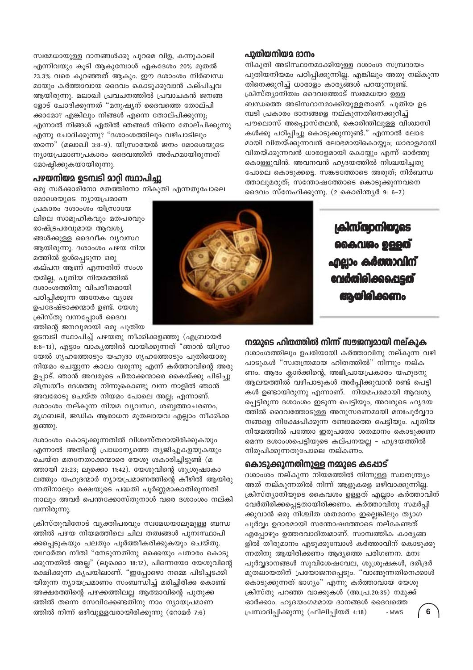സ്വമേധായുള്ള ദാനങ്ങൾക്കു പുറമെ വിള, കന്നുകാലി എന്നിവയും കൂടി ആകുമ്പോൾ ഏകദേശം 20% മുതൽ 23.3% വരെ കുറഞ്ഞത് ആകും. ഈ ദശാംശം നിർബന്ധ മായും കർത്താവായ ദൈവം കൊടുക്കുവാൻ കല്പിച്ചവ ആയിരുന്നു. മലാഖി പ്രവചനത്തിൽ പ്രവാചകൻ ജനങ്ങ ളോട് ചോദിക്കുന്നത് "മനുഷ്യന് ദൈവത്തെ തോല്പി ക്കാമോ? എങ്കിലും നിങ്ങൾ എന്നെ തോല്പിക്കുന്നു; എന്നാൽ നിങ്ങൾ ഏതിൽ ഞങ്ങൾ നിന്നെ തോല്പിക്കുന്നു എന്നു ചോദിക്കുന്നു? "ദശാംശത്തിലും വഴിപാടിലും തന്നെ" (മലാഖി 3:8-9). യിസ്രായേൽ ജനം മോശെയുടെ ന്യായപ്രമാണപ്രകാരം ദൈവത്തിന് അർഹമായിരുന്നത് മോഷ്പിക്കുകയായിരുന്നു.

#### പഴയനിയമ ഉടമ്പടി മാറ്റി സ്ഥാപിച്ചു

ഒരു സർക്കാരിനോ മതത്തിനോ നികുതി എന്നതുപോലെ

മോശെയുടെ ന്യായപ്രമാണ പ്രകാരം ദശാംശം യിസ്രായേ ലിലെ സാമുഹികവും മതപരവും രാഷ്ട്രപരവുമായ ആവശ്യ ങ്ങൾക്കുള്ള ദൈവീക വ്യവസ്ഥ ആയിരുന്നു. ദശാംശം പഴയ നിയ മത്തിൽ ഉൾപ്പെടുന്ന ഒരു കല്പന ആണ് എന്നതിന് സംശ യമില്ല, പുതിയ നിയമത്തിൽ ദശാംശത്തിനു വിപരീതമായി പഠിപിക്കുന്ന അനേകം വ്യാജ ഉപദേഷ്ടാക്കന്മാർ ഉണ്ട്. യേശു ക്രിസ്തു വന്നപ്പോൾ ദൈവ ത്തിന്റെ ജനവുമായി ഒരു പുതിയ

ഉടമ്പടി സ്ഥാപിച്ച് പഴയതു നീക്കിക്കളഞ്ഞു (എബ്രായർ 8:6-13), എട്ടാം വാകൃത്തിൽ വായിക്കുന്നത് "ഞാൻ യിസ്രാ യേൽ ഗൃഹത്തോടും യഹൂദാ ഗൃഹത്തോടും പുതിയൊരു നിയമം ചെയ്യുന്ന കാലം വരുന്നു എന്ന് കർത്താവിന്റെ അരു ളപ്പാട്. ഞാൻ അവരുടെ പിതാക്കന്മാരെ കൈയ്ക്കു പിടിച്ചു മിസ്രയീം ദേശത്തു നിന്നുകൊണ്ടു വന്ന നാളിൽ ഞാൻ അവരോടു ചെയ്ത നിയമം പോലെ അല്ല; എന്നാണ്. ദശാംശം നല്കുന്ന നിയമ വ്യവസ്ഥ, ശബ്ബത്താചരണം, മൃഗബലി, ജഡിക ആരാധന മുതലായവ എല്ലാം നീക്കിക്ക ളഞ്ഞു.

ദശാംശം കൊടുക്കുന്നതിൽ വിശ്വസ്തരായിരിക്കുകയും എന്നാൽ അതിന്റെ പ്രാധാന്യത്തെ ത്യജിച്ചുകളയുകയും ചെയ്ത മതനേതാക്കന്മാരെ യേശു ശകാരിച്ചിട്ടുണ്ട് (മ ത്തായി 23:23; ലൂക്കൊ 11:42). യേശുവിന്റെ ശുശ്രൂഷാകാ ലത്തും യഹൂദന്മാർ ന്യായപ്രമാണത്തിന്റെ കീഴിൽ ആയിരു ന്നതിനാലും രക്ഷയുടെ പദ്ധതി പൂർണ്ണമാകാതിരുന്നതി നാലും അവർ പെന്തക്കോസ്തുനാൾ വരെ ദശാംശം നല്കി വന്നിരുന്നു.

ക്രിസ്തുവിനോട് വ്യക്തിപരവും സ്വമേധയാലുമുള്ള ബന്ധ ത്തിൽ പഴയ നിയമത്തിലെ ചില തത്വങ്ങൾ പുനഃസ്ഥാപി ക്കപ്പെടുകയും പലതും പൂർത്തീകരിക്കുകയും ചെയ്തു. യഥാർത്ഥ നീതി "നേടുന്നതിനു ഒക്കെയും പതാരം കൊടു ക്കുന്നതിൽ അല്ല" (ലൂക്കൊ 18:12), പിന്നെയോ യേശുവിന്റെ രക്ഷിക്കുന്ന കൃപയിലാണ്. "ഇപ്പോഴൊ നമ്മെ പിടിച്ചടക്കി യിരുന്ന ന്യായപ്രമാണം സംബന്ധിച്ച് മരിച്ചിരിക്ക കൊണ്ട് അക്ഷരത്തിന്റെ പഴക്കത്തിലല്ല ആത്മാവിന്റെ പുതുക്ക ത്തിൽ തന്നെ സേവിക്കേണ്ടതിനു നാം ന്യായപ്രമാണ ത്തിൽ നിന്ന് ഒഴിവുള്ളവരായിരിക്കുന്നു (റോമർ 7:6)

#### പുതിയനിയമ ദാനം

നികുതി അടിസ്ഥാനമാക്കിയുള്ള ദശാംശ സമ്പ്രദായം പുതിയനിയമം പഠിപ്പിക്കുന്നില്ല. എങ്കിലും അതു നല്കുന്ന തിനെക്കുറിച്ച് ധാരാളം കാര്യങ്ങൾ പറയുന്നുണ്ട്. ക്രിസ്ത്യാനിത്വം ദൈവത്തോട് സ്വമേധയാ ഉള്ള ബന്ധത്തെ അടിസ്ഥാനമാക്കിയുള്ളതാണ്. പുതിയ ഉട മ്പടി പ്രകാരം ദാനങ്ങളെ നല്കുന്നതിനെക്കുറിച്ച് പൗലൊസ് അപ്പൊസ്തലൻ, കൊരിന്തിലുള്ള വിശ്വാസി കൾക്കു പഠിപ്പിച്ചു കൊടുക്കുന്നുണ്ട്." എന്നാൽ ലോഭ മായി വിതയ്ക്കുന്നവൻ ലോഭമായികൊയ്യും; ധാരാളമായി വിതയ്ക്കുന്നവൻ ധാരാളമായി കൊയ്യും എന്ന് ഓർത്തു കൊള്ളുവിൻ. അവനവൻ ഹൃദയത്തിൽ നിശ്ചയിച്ചതു പോലെ കൊടുക്കട്ടെ. സങ്കടത്തോടെ അരുത്; നിർബന്ധ ത്താലുമരുത്; സന്തോഷത്തോടെ കൊടുക്കുന്നവനെ ദൈവം സ്നേഹിക്കുന്നു. (2 കൊരിന്ത്യർ 9: 6-7)

> ക്രിസ്ത്വാനിയുടെ <u> കൈവശം ഉള്ളത</u> <u>എലാം കർത്താവിന്</u> **വേർതിരിക്കപ്പെടത്** അയിരിക്കണം

നമ്മുടെ ഹിതത്തിൽ നിന്ന് സൗജന്വമായി നല്കുക

ദശാംശത്തിലും ഉപരിയായി കർത്താവിനു നല്കുന്ന വഴി പാടുകൾ "സ്വതന്ത്രമായ ഹിതത്തിൽ" നിന്നും നല്ക ണം. ആദം ക്ലാർക്കിന്റെ, അഭിപ്രായപ്രകാരം യഹുദനു ആലയത്തിൽ വഴിപാടുകൾ അർപ്പിക്കുവാൻ രണ്ട് പെട്ടി കൾ ഉണ്ടായിരുന്നു എന്നാണ്. നിയമപരമായി ആവശ്യ പ്പെട്ടിരുന്ന ദശാംശം ഇടുന്ന പെട്ടിയും, അവരുടെ ഹൃദയ ത്തിൽ ദൈവത്തോടുള്ള അനുസരണമായി മനഃപൂർവ്വദാ നങ്ങളെ നിക്ഷേപിക്കുന്ന രണ്ടാമത്തെ പെട്ടിയും. പുതിയ നിയമത്തിൽ പത്തോ ഇരുപതോ ശതമാനം കൊടുക്കണ മെന്ന ദശാംശപെട്ടിയുടെ കല്പനയല്ല – ഹൃദയത്തിൽ നിരുപിക്കുന്നതുപോലെ നല്കണം.

#### കൊടുക്കുന്നതിനുള്ള നമ്മുടെ കടപ്പാട്

ദശാംശം നല്കുന്ന നിയമത്തിൽ നിന്നുള്ള സ്വാതന്ത്ര്യം അത് നല്കുന്നതിൽ നിന്ന് ആളുകളെ ഒഴിവാക്കുന്നില്ല. ക്രിസ്ത്യാനിയുടെ കൈവശം ഉള്ളത് എല്ലാം കർത്താവിന് വേർതിരിക്കപ്പെട്ടതായിരിക്കണം. കർത്താവിനു സമർപ്പി ക്കുവാൻ ഒരു നിശ്ചിത ശതമാനം ഇല്ലെങ്കിലും ത്യാഗ പൂർവ്വം ഉദാരമായി സന്തോഷത്തോടെ നല്കേണ്ടത് എപ്പോഴും ഉത്തരവാദിത്വമാണ്. സാമ്പത്തിക കാര്യങ്ങ ളിൽ തീരുമാനം എടുക്കുമ്പോൾ കർത്താവിന് കൊടുക്കു ന്നതിനു ആയിരിക്കണം ആദ്യത്തെ പരിഗണന. മനഃ പൂർവ്വദാനങ്ങൾ സുവിശേഷവേല, ശുശ്രുഷകൾ, ദരിദ്രർ മുതലായതിന് പ്രയോജനപ്പെടും. "വാങ്ങുന്നതിനെക്കാൾ കൊടുക്കുന്നത് ഭാഗ്യം" എന്നു കർത്താവായ യേശു ക്രിസ്തു പറഞ്ഞ വാക്കുകൾ (അ.പ്ര.20:35) നമുക്ക് ഓർക്കാം. ഹൃദയംഗമമായ ദാനങ്ങൾ ദൈവത്തെ പ്രസാദിപ്പിക്കുന്നു (ഫിലിപ്പിയർ 4:18)  $6\phantom{1}6$ - MWS

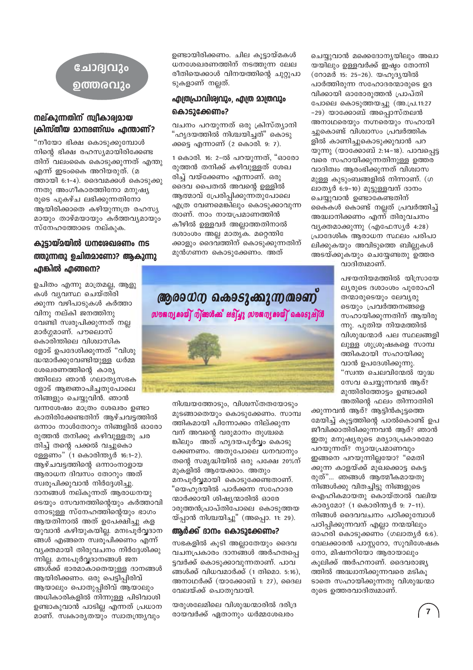### ചോദ്വവും ൭ത്തരവും

#### നല്കുന്നതിന് സ്വീകാര്യമായ ക്രിസ്തീയ മാനദണ്ഡം എന്താണ്?

"നീയോ ഭിക്ഷ കൊടുക്കുമ്പോൾ നിന്റെ ഭിക്ഷ രഹസ്യമായിരിക്കേണ്ട തിന് വലംകൈ കൊടുക്കുന്നത് എന്തു എന്ന് ഇടംകൈ അറിയരുത്. (മ ത്തായി 6:1-4). ദൈവമക്കൾ കൊടുക്കു ന്നതു അംഗീകാരത്തിനോ മനുഷ്യ രുടെ പുകഴ്ച ലഭിക്കുന്നതിനോ ആയിരിക്കാതെ കഴിയുന്നത്ര രഹസ്യ മായും താഴ്മയായും കർത്തവൃമായും സ്നേഹത്തോടെ നല്കുക.

#### കൂട്ടായ്മയിൽ ധനശേഖരണം നട ത്തുന്നതു ഉചിതമാണോ? ആകുന്നു എങ്കിൽ എങ്ങനെ?

ഉചിതം എന്നു മാത്രമല്ല, ആളു കൾ വ്യവസ്ഥ ചെയ്തിരി ക്കുന്ന വഴിപാടുകൾ കർത്താ വിനു നല്കി ജനത്തിനു വേണ്ടി സ്വരൂപിക്കുന്നത് നല്ല മാർഗ്ഗമാണ്. പൗലൊസ് കൊരിന്തിലെ വിശ്വാസിക ളോട് ഉപദേശിക്കുന്നത് "വിശു ദ്ധന്മാർക്കുവേണ്ടിയുള്ള ധർമ്മ ശേഖരണത്തിന്റെ കാര്യ ത്തിലോ ഞാൻ ഗലാത്യസഭക ളോട് ആജ്ഞാപിച്ചതുപോലെ നിങ്ങളും ചെയ്യുവിൻ. ഞാൻ

വന്നശേഷം മാത്രം ശേഖരം ഉണ്ടാ കാതിരിക്കേണ്ടതിന് ആഴ്ചവട്ടത്തിൽ ഒന്നാം നാൾതോറും നിങ്ങളിൽ ഓരോ രുത്തൻ തനിക്കു കഴിവുള്ളതു ചര തിച്ച് തന്റെ പക്കൽ വച്ചുകൊ ള്ളേണം" (1 കൊരിന്ത്യർ 16:1-2). ആഴ്ചവട്ടത്തിന്റെ ഒന്നാംനാളായ ആരാധന ദിവസം തോറും അത് സ്വരുപിക്കുവാൻ നിർദ്ദേശിച്ചു. ദാനങ്ങൾ നല്കുന്നത് ആരാധനയു ടെയും സേവനത്തിന്റെയും കർത്താവി നോടുള്ള സ്നേഹത്തിന്റെയും ഭാഗം ആയതിനാൽ അത് ഉപേക്ഷിച്ചു കള യുവാൻ കഴിയുകയില്ല. മനഃപൂർവ്വദാന ങ്ങൾ എങ്ങനെ സ്വരൂപിക്കണം എന്ന് വ്യക്തമായി തിരുവചനം നിർദ്ദേശിക്കു ന്നില്ല. മനഃപൂർവ്വദാനങ്ങൾ ജന ങ്ങൾക്ക് ഭാരമാകാതെയുള്ള ദാനങ്ങൾ ആയിരിക്കണം. ഒരു പെട്ടിപ്പിരിവ് ആയാലും പൊതുപ്പിരിവ് ആയാലും അധികാരികളിൽ നിന്നുള്ള പിടിവാശി ഉണ്ടാകുവാൻ പാടില്ല എന്നത് പ്രധാന മാണ്. സ്വകാര്യതയും സ്വാതന്ത്ര്യവും

ഉണ്ടായിരിക്കണം. ചില കൂട്ടായ്മകൾ ധനശേഖരണത്തിന് നടത്തുന്ന ലേല രീതിയെക്കാൾ വിനയത്തിന്റെ ചുറ്റുപാ ടുകളാണ് നല്ലത്.

#### എത്രപ്രാവിശ്വവും, എത്ര മാത്രവും കൊടുക്കേണം?

വചനം പറയുന്നത് ഒരു ക്രിസ്ത്യാനി "ഹൃദയത്തിൽ നിശ്ചയിച്ചത്" കൊടു ക്കട്ടെ എന്നാണ് (2 കൊരി. 9: 7).

1 കൊരി. 16: 2-ൽ പറയുന്നത്, "ഓരോ രുത്തൻ തനിക്ക് കഴിവുള്ളത് ശേഖ രിച്ച് വയ്ക്കേണം എന്നാണ്. ഒരു ദൈവ പൈതൽ അവന്റെ ഉള്ളിൽ ആത്മാവ് പ്രേരിപ്പിക്കുന്നതുപോലെ എത്ര വേണമെങ്കിലും കൊടുക്കാവുന്ന താണ്. നാം നായപ്രമാണത്തിൻ കീഴിൽ ഉള്ളവർ അല്ലാത്തതിനാൽ ദശാംശം അല്ല മാതൃക. മറ്റെന്തിേ ക്കാളും ദൈവത്തിന് കൊടുക്കുന്നതിന് മുൻഗണന കൊടുക്കേണം. അത്



നിശ്ചയത്തോടും, വിശ്വസ്തതയോടും മുടങ്ങാതെയും കൊടുക്കേണം. സാമ്പ ത്തികമായി പിന്നോക്കം നില്ക്കുന്ന വന് അവന്റെ വരുമാനം തുശ്ചമെ ങ്കിലും അത് ഹൃദയപൂർവ്വം കൊടു ക്കേണണം. അതുപോലെ ധനവാനും തന്റെ സമൃദ്ധിയിൽ ഒരു പക്ഷേ 20%ന് മുകളിൽ ആയേക്കാം. അതും മനപൂർവ്വമായി കൊടുക്കേണ്ടതാണ്. "യെഹുദയിൽ പാർക്കന്ന സഹോദര ന്മാർക്കായി ശിഷ്യന്മാരിൽ ഓരേ ാരുത്തൻപ്രാപ്തിപോലെ കൊടുത്തയ യ്പ്പാൻ നിശ്ചയിച്ചു" (അപ്പൊ. 11: 29).

#### ആർക്ക് ദാനം കൊടുക്കേണം?

സഭകളിൽ കൂടി അല്ലാതേയും ദൈവ വചനപ്രകാരം ദാനങ്ങൾ അർഹതപ്പെ ട്ടവർക്ക് കൊടുക്കാവുന്നതാണ്. പാവ ങ്ങൾക്ക് വിധവമാർക്ക് (1 തിമൊ. 5:16). അനാഥർക്ക് (യാക്കോബ് 1: 27), ദൈല വേലയ്ക്ക് പൊതുവായി.

യരുശലേമിലെ വിശുദ്ധന്മാരിൽ ദരിദ്ര രായവർക്ക് ഏതാനും ധർമ്മശേഖരം

ചെയ്യുവാൻ മക്കെദോനൃയിലും അഖാ യയിലും ഉള്ളവർക്ക് ഇഷ്ടം തോന്നി (റോമർ 15: 25-26). യഹുദൃയിൽ പാർത്തിരുന്ന സഹോദരന്മാരുടെ ഉദ വിക്കായി ഓരോരുത്തൻ പ്രാപ്തി പോലെ കൊടുത്തയച്ചു (അ.പ്ര.11:27 -29) യാക്കോബ് അപ്പൊസ്തലൻ അനാഥരെയും നഗ്നരെയും സഹായി ച്ചുകൊണ്ട് വിശ്വാസം പ്രവർത്തിക ളിൽ കാണിച്ചുകൊടുക്കുവാൻ പറ യുന്നു (യാക്കോബ് 2:14-18). പാവപ്പെട്ട വരെ സഹായിക്കുന്നതിനുള്ള ഉത്തര വാദിത്വം ആരംഭിക്കുന്നത് വിശ്വാസ മുള്ള കൂടുംബങ്ങളിൽ നിന്നാണ്. (ഗ ലാതൃർ 6:9-10) മുട്ടുള്ളവന് ദാനം ചെയ്യുവാൻ ഉണ്ടാകേണ്ടതിന് കൈകൾ കൊണ്ട് നല്ലത് പ്രവർത്തിച്ച് അദ്ധ്വാനിക്കണം എന്ന് തിരുവചനം വ്യക്തമാക്കുന്നു (എഫേസ്യർ 4:28) പ്രാദേശിക ആരാധന സ്ഥലം പരിപാ ലിക്കുകയും അവിടുത്തെ ബില്ലുകൾ അടയ്ക്കുകയും ചെയ്യേണ്ടതു ഉത്തര വാദിത്വമാണ്.

> പഴയനിയമത്തിൽ യിസ്രായേ ല്യരുടെ ദശാംശം പുരോഹി തന്മാരുടെയും ലേവൃരു ടെയും പ്രവർത്തനങ്ങളെ സഹായിക്കുന്നതിന് ആയിരു ന്നു. പുതിയ നിയമത്തിൽ വിശുദ്ധന്മാർ പല സ്ഥലങ്ങളി ലുള്ള ശുശ്രൂഷകളെ സാമ്പ ത്തികമായി സഹായിക്കു വാൻ ഉപദേശിക്കുന്നു. "സ്വന്ത ചെലവിന്മേൽ യുദ്ധ സേവ ചെയ്യുന്നവൻ ആര്? മുന്തിരിത്തോട്ടം ഉണ്ടാക്കി അതിന്റെ ഫലം തിന്നാതിരി

ക്കുന്നവൻ ആര്? ആട്ടിൻകൂട്ടത്തെ മേയിച്ച് കൂട്ടത്തിന്റെ പാൽകൊണ്ട് ഉപ ജീവിക്കാതിരിക്കുന്നവൻ ആര്? ഞാൻ ഇതു മനുഷ്യരുടെ മര്യാദപ്രകാരമോ പറയുന്നത്? ന്യായപ്രമാണവും ഇങ്ങനെ പറയുന്നില്ലയോ? "മെതി ക്കുന്ന കാളയ്ക്ക് മുഖക്കൊട്ട കെട്ട രുത്"... ഞങ്ങൾ ആത്മീകമായതു നിങ്ങൾക്കു വിതച്ചിട്ടു നിങ്ങളുടെ ഐഹികമായതു കൊയ്താൽ വലിയ കാര്യമോ? (1 കൊരിന്ത്യർ 9: 7-11). നിങ്ങൾ ദൈവവചനം പഠിക്കുമ്പോൾ പഠിപ്പിക്കുന്നവന് എല്ലാ നന്മയിലും ഓഹരി കൊടുക്കണം (ഗലാതൃർ 6:6). വേലക്കാരൻ പാസ്റ്ററോ, സുവിശേഷക നോ, മിഷനറിയോ ആരായാലും കുലിക്ക് അർഹനാണ്. ദൈവരാജ്യ ത്തിൽ അദ്ധ്വാനിക്കുന്നവരെ മടികു ടാതെ സഹായിക്കുന്നതു വിശുദ്ധന്മാ രുടെ ഉത്തരവാദിത്വമാണ്.